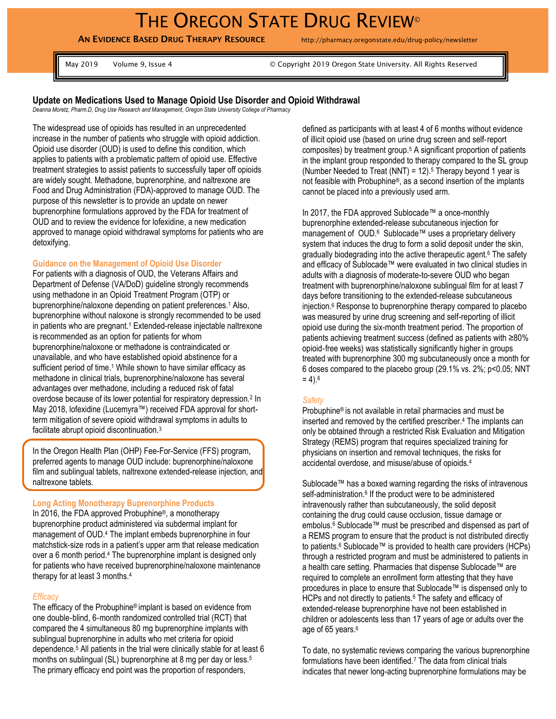# THE OREGON STATE DRUG REVIEW<sup>®</sup>

**AN EVIDENCE BASED DRUG THERAPY RESOURCE** http://pharmacy.oregonstate.edu/drug-policy/newsletter

May 2019 Volume 9, Issue 4 © Copyright 2019 Oregon State University. All Rights Reserved

# **Update on Medications Used to Manage Opioid Use Disorder and Opioid Withdrawal**

*Deanna Moretz, Pharm.D, Drug Use Research and Management, Oregon State University College of Pharmacy*

The widespread use of opioids has resulted in an unprecedented increase in the number of patients who struggle with opioid addiction. Opioid use disorder (OUD) is used to define this condition, which applies to patients with a problematic pattern of opioid use. Effective treatment strategies to assist patients to successfully taper off opioids are widely sought. Methadone, buprenorphine, and naltrexone are Food and Drug Administration (FDA)-approved to manage OUD. The purpose of this newsletter is to provide an update on newer buprenorphine formulations approved by the FDA for treatment of OUD and to review the evidence for lofexidine, a new medication approved to manage opioid withdrawal symptoms for patients who are detoxifying.

#### **Guidance on the Management of Opioid Use Disorder**

For patients with a diagnosis of OUD, the Veterans Affairs and Department of Defense (VA/DoD) guideline strongly recommends using methadone in an Opioid Treatment Program (OTP) or buprenorphine/naloxone depending on patient preferences.<sup>1</sup> Also, buprenorphine without naloxone is strongly recommended to be used in patients who are pregnant.<sup>1</sup> Extended-release injectable naltrexone is recommended as an option for patients for whom buprenorphine/naloxone or methadone is contraindicated or unavailable, and who have established opioid abstinence for a sufficient period of time.<sup>1</sup> While shown to have similar efficacy as methadone in clinical trials, buprenorphine/naloxone has several advantages over methadone, including a reduced risk of fatal overdose because of its lower potential for respiratory depression.<sup>2</sup> In May 2018, lofexidine (Lucemyra™) received FDA approval for shortterm mitigation of severe opioid withdrawal symptoms in adults to facilitate abrupt opioid discontinuation.<sup>3</sup>

In the Oregon Health Plan (OHP) Fee-For-Service (FFS) program, preferred agents to manage OUD include: buprenorphine/naloxone film and sublingual tablets, naltrexone extended-release injection, and naltrexone tablets*.*

#### **Long Acting Monotherapy Buprenorphine Products**

In 2016, the FDA approved Probuphine®, a monotherapy buprenorphine product administered via subdermal implant for management of OUD.<sup>4</sup> The implant embeds buprenorphine in four matchstick-size rods in a patient's upper arm that release medication over a 6 month period.<sup>4</sup> The buprenorphine implant is designed only for patients who have received buprenorphine/naloxone maintenance therapy for at least 3 months.<sup>4</sup>

#### *Efficacy*

The efficacy of the Probuphine® implant is based on evidence from one double‐blind, 6‐month randomized controlled trial (RCT) that compared the 4 simultaneous 80 mg buprenorphine implants with sublingual buprenorphine in adults who met criteria for opioid dependence.<sup>5</sup> All patients in the trial were clinically stable for at least 6 months on sublingual (SL) buprenorphine at 8 mg per day or less.<sup>5</sup> The primary efficacy end point was the proportion of responders,

defined as participants with at least 4 of 6 months without evidence of illicit opioid use (based on urine drug screen and self‐report composites) by treatment group.<sup>5</sup> A significant proportion of patients in the implant group responded to therapy compared to the SL group (Number Needed to Treat (NNT) =  $12$ ).<sup>5</sup> Therapy beyond 1 year is not feasible with Probuphine®, as a second insertion of the implants cannot be placed into a previously used arm.

In 2017, the FDA approved Sublocade™ a once-monthly buprenorphine extended-release subcutaneous injection for management of OUD.<sup>6</sup> Sublocade™ uses a proprietary delivery system that induces the drug to form a solid deposit under the skin, gradually biodegrading into the active therapeutic agent.<sup>6</sup> The safety and efficacy of Sublocade™ were evaluated in two clinical studies in adults with a diagnosis of moderate-to-severe OUD who began treatment with buprenorphine/naloxone sublingual film for at least 7 days before transitioning to the extended-release subcutaneous injection.<sup>6</sup> Response to buprenorphine therapy compared to placebo was measured by urine drug screening and self-reporting of illicit opioid use during the six-month treatment period. The proportion of patients achieving treatment success (defined as patients with ≥80% opioid‐free weeks) was statistically significantly higher in groups treated with buprenorphine 300 mg subcutaneously once a month for 6 doses compared to the placebo group (29.1% vs. 2%; p<0.05; NNT  $= 4$ ).<sup>6</sup>

#### *Safety*

Probuphine® is not available in retail pharmacies and must be inserted and removed by the certified prescriber.<sup>4</sup> The implants can only be obtained through a restricted Risk Evaluation and Mitigation Strategy (REMS) program that requires specialized training for physicians on insertion and removal techniques, the risks for accidental overdose, and misuse/abuse of opioids.<sup>4</sup>

Sublocade™ has a boxed warning regarding the risks of intravenous self-administration.<sup>6</sup> If the product were to be administered intravenously rather than subcutaneously, the solid deposit containing the drug could cause occlusion, tissue damage or embolus.<sup>6</sup> Sublocade™ must be prescribed and dispensed as part of a REMS program to ensure that the product is not distributed directly to patients.<sup>6</sup> Sublocade™ is provided to health care providers (HCPs) through a restricted program and must be administered to patients in a health care setting. Pharmacies that dispense Sublocade™ are required to complete an enrollment form attesting that they have procedures in place to ensure that Sublocade™ is dispensed only to HCPs and not directly to patients.<sup>6</sup> The safety and efficacy of extended-release buprenorphine have not been established in children or adolescents less than 17 years of age or adults over the age of 65 years.<sup>6</sup>

To date, no systematic reviews comparing the various buprenorphine formulations have been identified.<sup>7</sup> The data from clinical trials indicates that newer long-acting buprenorphine formulations may be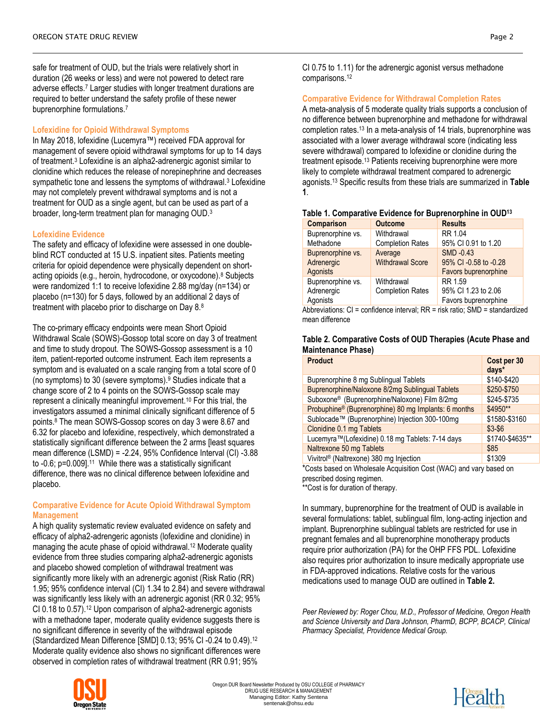safe for treatment of OUD, but the trials were relatively short in duration (26 weeks or less) and were not powered to detect rare adverse effects.<sup>7</sup> Larger studies with longer treatment durations are required to better understand the safety profile of these newer buprenorphine formulations.<sup>7</sup>

# **Lofexidine for Opioid Withdrawal Symptoms**

In May 2018, lofexidine (Lucemyra™) received FDA approval for management of severe opioid withdrawal symptoms for up to 14 days of treatment.<sup>3</sup> Lofexidine is an alpha2-adrenergic agonist similar to clonidine which reduces the release of norepinephrine and decreases sympathetic tone and lessens the symptoms of withdrawal.<sup>3</sup> Lofexidine may not completely prevent withdrawal symptoms and is not a treatment for OUD as a single agent, but can be used as part of a broader, long-term treatment plan for managing OUD.<sup>3</sup>

## **Lofexidine Evidence**

The safety and efficacy of lofexidine were assessed in one doubleblind RCT conducted at 15 U.S. inpatient sites. Patients meeting criteria for opioid dependence were physically dependent on shortacting opioids (e.g., heroin, hydrocodone, or oxycodone).<sup>8</sup> Subjects were randomized 1:1 to receive lofexidine 2.88 mg/day (n=134) or placebo (n=130) for 5 days, followed by an additional 2 days of treatment with placebo prior to discharge on Day 8.<sup>8</sup>

The co-primary efficacy endpoints were mean Short Opioid Withdrawal Scale (SOWS)-Gossop total score on day 3 of treatment and time to study dropout. The SOWS-Gossop assessment is a 10 item, patient-reported outcome instrument. Each item represents a symptom and is evaluated on a scale ranging from a total score of 0 (no symptoms) to 30 (severe symptoms).<sup>9</sup> Studies indicate that a change score of 2 to 4 points on the SOWS-Gossop scale may represent a clinically meaningful improvement.<sup>10</sup> For this trial, the investigators assumed a minimal clinically significant difference of 5 points.<sup>8</sup> The mean SOWS-Gossop scores on day 3 were 8.67 and 6.32 for placebo and lofexidine, respectively, which demonstrated a statistically significant difference between the 2 arms [least squares mean difference (LSMD) = -2.24, 95% Confidence Interval (CI) -3.88 to -0.6; p=0.009].<sup>11</sup> While there was a statistically significant difference, there was no clinical difference between lofexidine and placebo.

# **Comparative Evidence for Acute Opioid Withdrawal Symptom Management**

A high quality systematic review evaluated evidence on safety and efficacy of alpha2-adrengeric agonists (lofexidine and clonidine) in managing the acute phase of opioid withdrawal.<sup>12</sup> Moderate quality evidence from three studies comparing alpha2-adrenergic agonists and placebo showed completion of withdrawal treatment was significantly more likely with an adrenergic agonist (Risk Ratio (RR) 1.95; 95% confidence interval (CI) 1.34 to 2.84) and severe withdrawal was significantly less likely with an adrenergic agonist (RR 0.32; 95% CI 0.18 to 0.57).<sup>12</sup> Upon comparison of alpha2-adrenergic agonists with a methadone taper, moderate quality evidence suggests there is no significant difference in severity of the withdrawal episode (Standardized Mean Difference [SMD] 0.13; 95% CI -0.24 to 0.49).<sup>12</sup> Moderate quality evidence also shows no significant differences were observed in completion rates of withdrawal treatment (RR 0.91; 95%

CI 0.75 to 1.11) for the adrenergic agonist versus methadone comparisons.<sup>12</sup>

#### **Comparative Evidence for Withdrawal Completion Rates**

A meta-analysis of 5 moderate quality trials supports a conclusion of no difference between buprenorphine and methadone for withdrawal completion rates.<sup>13</sup> In a meta-analysis of 14 trials, buprenorphine was associated with a lower average withdrawal score (indicating less severe withdrawal) compared to lofexidine or clonidine during the treatment episode.<sup>13</sup> Patients receiving buprenorphine were more likely to complete withdrawal treatment compared to adrenergic agonists.<sup>13</sup> Specific results from these trials are summarized in **Table 1**.

| <b>Outcome</b>          | <b>Results</b>        |
|-------------------------|-----------------------|
| Withdrawal              | RR 1.04               |
| <b>Completion Rates</b> | 95% CI 0.91 to 1.20   |
| Average                 | SMD -0.43             |
| <b>Withdrawal Score</b> | 95% CI -0.58 to -0.28 |
|                         | Favors buprenorphine  |
| Withdrawal              | RR 1.59               |
| <b>Completion Rates</b> | 95% CI 1.23 to 2.06   |
|                         | Favors buprenorphine  |
|                         |                       |

#### **Table 1. Comparative Evidence for Buprenorphine in OUD<sup>13</sup>**

Abbreviations: CI = confidence interval; RR = risk ratio; SMD = standardized mean difference

## **Table 2. Comparative Costs of OUD Therapies (Acute Phase and Maintenance Phase)**

| <b>Product</b>                                            | Cost per 30<br>$d$ ays $*$ |
|-----------------------------------------------------------|----------------------------|
| Buprenorphine 8 mg Sublingual Tablets                     | \$140-\$420                |
| Buprenorphine/Naloxone 8/2mg Sublingual Tablets           | \$250-\$750                |
| Suboxone <sup>®</sup> (Buprenorphine/Naloxone) Film 8/2mg | \$245-\$735                |
| Probuphine® (Buprenorphine) 80 mg Implants: 6 months      | \$4950**                   |
| Sublocade™ (Buprenorphine) Injection 300-100mg            | \$1580-\$3160              |
| Clonidine 0.1 mg Tablets                                  | $$3-$6$                    |
| Lucemyra™(Lofexidine) 0.18 mg Tablets: 7-14 days          | \$1740-\$4635**            |
| Naltrexone 50 mg Tablets                                  | \$85                       |
| Vivitrol <sup>®</sup> (Naltrexone) 380 mg Injection       | \$1309                     |
|                                                           |                            |

\*Costs based on Wholesale Acquisition Cost (WAC) and vary based on prescribed dosing regimen.

\*\*Cost is for duration of therapy.

In summary, buprenorphine for the treatment of OUD is available in several formulations: tablet, sublingual film, long-acting injection and implant. Buprenorphine sublingual tablets are restricted for use in pregnant females and all buprenorphine monotherapy products require prior authorization (PA) for the OHP FFS PDL. Lofexidine also requires prior authorization to insure medically appropriate use in FDA-approved indications. Relative costs for the various medications used to manage OUD are outlined in **Table 2.**

*Peer Reviewed by: Roger Chou, M.D., Professor of Medicine, Oregon Health and Science University and Dara Johnson, PharmD, BCPP, BCACP, Clinical Pharmacy Specialist, Providence Medical Group.*